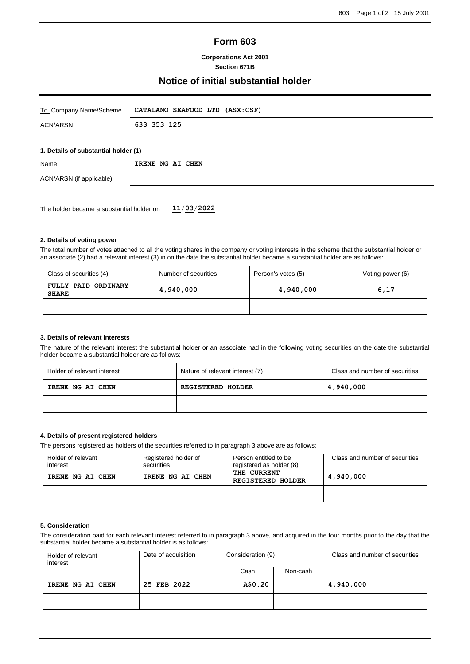# **Form 603**

### **Corporations Act 2001 Section 671B**

## **Notice of initial substantial holder**

| To Company Name/Scheme                    | CATALANO SEAFOOD LTD (ASX:CSF) |  |  |
|-------------------------------------------|--------------------------------|--|--|
| <b>ACN/ARSN</b>                           | 633 353 125                    |  |  |
|                                           |                                |  |  |
| 1. Details of substantial holder (1)      |                                |  |  |
| Name                                      | IRENE NG AI CHEN               |  |  |
| ACN/ARSN (if applicable)                  |                                |  |  |
|                                           |                                |  |  |
| The holder became a substantial holder on | 11/03/2022                     |  |  |

#### **2. Details of voting power**

The total number of votes attached to all the voting shares in the company or voting interests in the scheme that the substantial holder or an associate (2) had a relevant interest (3) in on the date the substantial holder became a substantial holder are as follows:

| Class of securities (4)                          | Number of securities | Person's votes (5) | Voting power (6) |
|--------------------------------------------------|----------------------|--------------------|------------------|
| FULLY PAID ORDINARY<br>4,940,000<br><b>SHARE</b> |                      | 4,940,000          | 6,17             |
|                                                  |                      |                    |                  |

#### **3. Details of relevant interests**

The nature of the relevant interest the substantial holder or an associate had in the following voting securities on the date the substantial holder became a substantial holder are as follows:

| Holder of relevant interest | Nature of relevant interest (7) | Class and number of securities |
|-----------------------------|---------------------------------|--------------------------------|
| IRENE NG AI CHEN            | <b>REGISTERED HOLDER</b>        | 4,940,000                      |
|                             |                                 |                                |

### **4. Details of present registered holders**

The persons registered as holders of the securities referred to in paragraph 3 above are as follows:

| Holder of relevant<br>interest | Registered holder of<br>securities | Person entitled to be<br>registered as holder (8) | Class and number of securities |
|--------------------------------|------------------------------------|---------------------------------------------------|--------------------------------|
| IRENE NG AI CHEN               | IRENE NG AI CHEN                   | THE CURRENT<br><b>REGISTERED HOLDER</b>           | 4,940,000                      |
|                                |                                    |                                                   |                                |

#### **5. Consideration**

The consideration paid for each relevant interest referred to in paragraph 3 above, and acquired in the four months prior to the day that the substantial holder became a substantial holder is as follows:

| Holder of relevant<br>interest | Date of acquisition | Consideration (9) |          | Class and number of securities |
|--------------------------------|---------------------|-------------------|----------|--------------------------------|
|                                |                     | Cash              | Non-cash |                                |
| IRENE NG AI CHEN               | 25 FEB 2022         | A\$0.20           |          | 4,940,000                      |
|                                |                     |                   |          |                                |